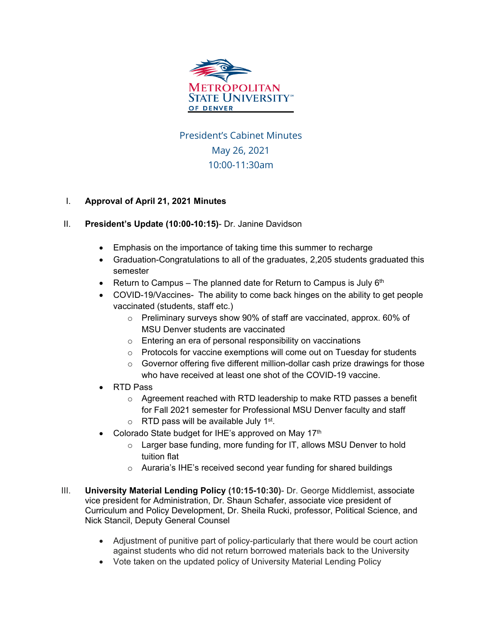

## President's Cabinet Minutes May 26, 2021 10:00-11:30am

## I. **Approval of April 21, 2021 Minutes**

- II. **President's Update (10:00-10:15)** Dr. Janine Davidson
	- Emphasis on the importance of taking time this summer to recharge
	- Graduation-Congratulations to all of the graduates, 2,205 students graduated this semester
	- Return to Campus The planned date for Return to Campus is July  $6<sup>th</sup>$
	- COVID-19/Vaccines- The ability to come back hinges on the ability to get people vaccinated (students, staff etc.)
		- o Preliminary surveys show 90% of staff are vaccinated, approx. 60% of MSU Denver students are vaccinated
		- o Entering an era of personal responsibility on vaccinations
		- o Protocols for vaccine exemptions will come out on Tuesday for students
		- $\circ$  Governor offering five different million-dollar cash prize drawings for those who have received at least one shot of the COVID-19 vaccine.
	- RTD Pass
		- o Agreement reached with RTD leadership to make RTD passes a benefit for Fall 2021 semester for Professional MSU Denver faculty and staff
		- $\circ$  RTD pass will be available July 1<sup>st</sup>.
	- Colorado State budget for IHE's approved on May 17th
		- o Larger base funding, more funding for IT, allows MSU Denver to hold tuition flat
		- o Auraria's IHE's received second year funding for shared buildings
- III. **University Material Lending Policy (10:15-10:30)** Dr. George Middlemist, associate vice president for Administration, Dr. Shaun Schafer, associate vice president of Curriculum and Policy Development, Dr. Sheila Rucki, professor, Political Science, and Nick Stancil, Deputy General Counsel
	- Adjustment of punitive part of policy-particularly that there would be court action against students who did not return borrowed materials back to the University
	- Vote taken on the updated policy of University Material Lending Policy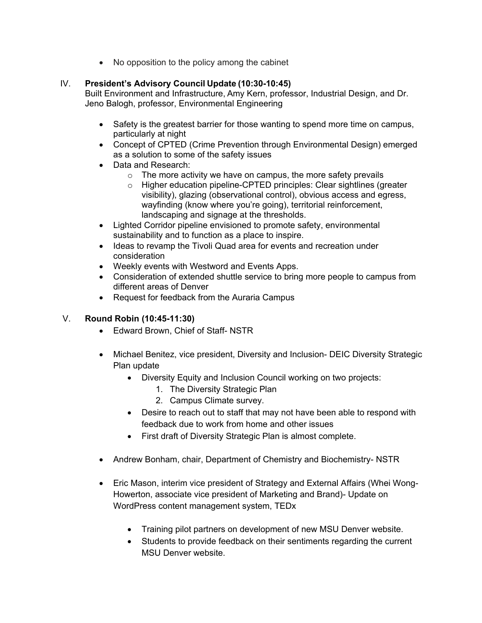• No opposition to the policy among the cabinet

## IV. **President's Advisory Council Update (10:30-10:45)**

Built Environment and Infrastructure, Amy Kern, professor, Industrial Design, and Dr. Jeno Balogh, professor, Environmental Engineering

- Safety is the greatest barrier for those wanting to spend more time on campus, particularly at night
- Concept of CPTED (Crime Prevention through Environmental Design) emerged as a solution to some of the safety issues
- Data and Research:
	- $\circ$  The more activity we have on campus, the more safety prevails
	- o Higher education pipeline-CPTED principles: Clear sightlines (greater visibility), glazing (observational control), obvious access and egress, wayfinding (know where you're going), territorial reinforcement, landscaping and signage at the thresholds.
- Lighted Corridor pipeline envisioned to promote safety, environmental sustainability and to function as a place to inspire.
- Ideas to revamp the Tivoli Quad area for events and recreation under consideration
- Weekly events with Westword and Events Apps.
- Consideration of extended shuttle service to bring more people to campus from different areas of Denver
- Request for feedback from the Auraria Campus

## V. **Round Robin (10:45-11:30)**

- Edward Brown, Chief of Staff- NSTR
- Michael Benitez, vice president, Diversity and Inclusion- DEIC Diversity Strategic Plan update
	- Diversity Equity and Inclusion Council working on two projects:
		- 1. The Diversity Strategic Plan
		- 2. Campus Climate survey.
	- Desire to reach out to staff that may not have been able to respond with feedback due to work from home and other issues
	- First draft of Diversity Strategic Plan is almost complete.
- Andrew Bonham, chair, Department of Chemistry and Biochemistry- NSTR
- Eric Mason, interim vice president of Strategy and External Affairs (Whei Wong-Howerton, associate vice president of Marketing and Brand)- Update on WordPress content management system, TEDx
	- Training pilot partners on development of new MSU Denver website.
	- Students to provide feedback on their sentiments regarding the current MSU Denver website.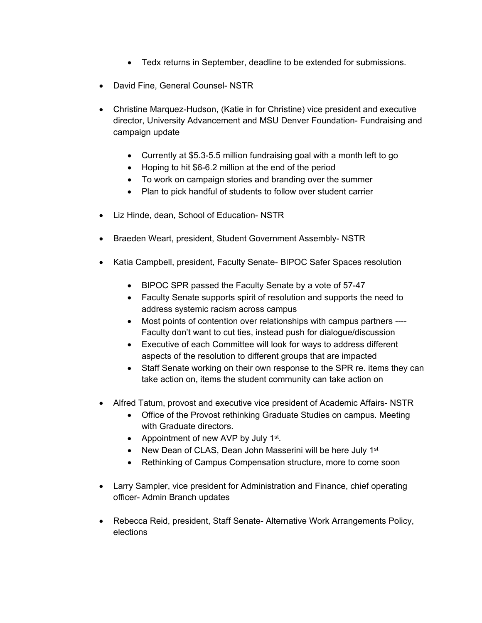- Tedx returns in September, deadline to be extended for submissions.
- David Fine, General Counsel- NSTR
- Christine Marquez-Hudson, (Katie in for Christine) vice president and executive director, University Advancement and MSU Denver Foundation- Fundraising and campaign update
	- Currently at \$5.3-5.5 million fundraising goal with a month left to go
	- Hoping to hit \$6-6.2 million at the end of the period
	- To work on campaign stories and branding over the summer
	- Plan to pick handful of students to follow over student carrier
- Liz Hinde, dean, School of Education- NSTR
- Braeden Weart, president, Student Government Assembly- NSTR
- Katia Campbell, president, Faculty Senate- BIPOC Safer Spaces resolution
	- BIPOC SPR passed the Faculty Senate by a vote of 57-47
	- Faculty Senate supports spirit of resolution and supports the need to address systemic racism across campus
	- Most points of contention over relationships with campus partners ---- Faculty don't want to cut ties, instead push for dialogue/discussion
	- Executive of each Committee will look for ways to address different aspects of the resolution to different groups that are impacted
	- Staff Senate working on their own response to the SPR re. items they can take action on, items the student community can take action on
- Alfred Tatum, provost and executive vice president of Academic Affairs- NSTR
	- Office of the Provost rethinking Graduate Studies on campus. Meeting with Graduate directors.
	- Appointment of new AVP by July 1<sup>st</sup>.
	- New Dean of CLAS, Dean John Masserini will be here July 1<sup>st</sup>
	- Rethinking of Campus Compensation structure, more to come soon
- Larry Sampler, vice president for Administration and Finance, chief operating officer- Admin Branch updates
- Rebecca Reid, president, Staff Senate- Alternative Work Arrangements Policy, elections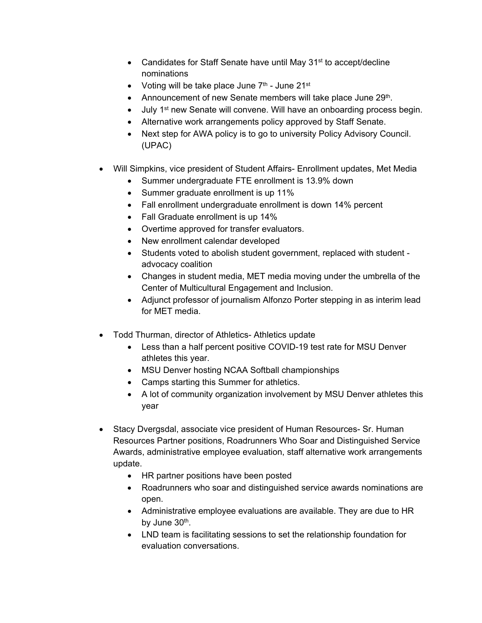- Candidates for Staff Senate have until May 31<sup>st</sup> to accept/decline nominations
- Voting will be take place June  $7<sup>th</sup>$  June 21st
- Announcement of new Senate members will take place June 29<sup>th</sup>.
- July 1st new Senate will convene. Will have an onboarding process begin.
- Alternative work arrangements policy approved by Staff Senate.
- Next step for AWA policy is to go to university Policy Advisory Council. (UPAC)
- Will Simpkins, vice president of Student Affairs- Enrollment updates, Met Media
	- Summer undergraduate FTE enrollment is 13.9% down
	- Summer graduate enrollment is up 11%
	- Fall enrollment undergraduate enrollment is down 14% percent
	- Fall Graduate enrollment is up 14%
	- Overtime approved for transfer evaluators.
	- New enrollment calendar developed
	- Students voted to abolish student government, replaced with student advocacy coalition
	- Changes in student media, MET media moving under the umbrella of the Center of Multicultural Engagement and Inclusion.
	- Adjunct professor of journalism Alfonzo Porter stepping in as interim lead for MET media.
- Todd Thurman, director of Athletics- Athletics update
	- Less than a half percent positive COVID-19 test rate for MSU Denver athletes this year.
	- MSU Denver hosting NCAA Softball championships
	- Camps starting this Summer for athletics.
	- A lot of community organization involvement by MSU Denver athletes this year
- Stacy Dvergsdal, associate vice president of Human Resources- Sr. Human Resources Partner positions, Roadrunners Who Soar and Distinguished Service Awards, administrative employee evaluation, staff alternative work arrangements update.
	- HR partner positions have been posted
	- Roadrunners who soar and distinguished service awards nominations are open.
	- Administrative employee evaluations are available. They are due to HR by June  $30<sup>th</sup>$ .
	- LND team is facilitating sessions to set the relationship foundation for evaluation conversations.